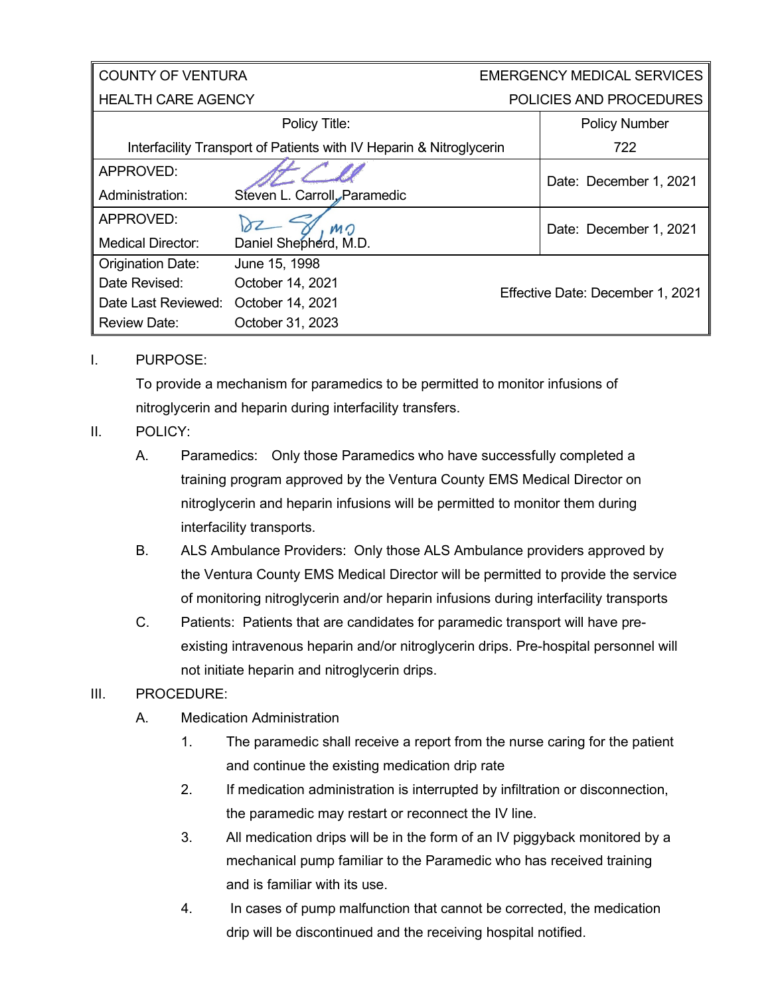| <b>COUNTY OF VENTURA</b>                                            |                              | <b>EMERGENCY MEDICAL SERVICES</b> |  |
|---------------------------------------------------------------------|------------------------------|-----------------------------------|--|
| <b>HEALTH CARE AGENCY</b>                                           |                              | POLICIES AND PROCEDURES           |  |
|                                                                     | Policy Title:                | <b>Policy Number</b>              |  |
| Interfacility Transport of Patients with IV Heparin & Nitroglycerin |                              | 722                               |  |
| APPROVED:                                                           |                              | Date: December 1, 2021            |  |
| Administration:                                                     | Steven L. Carroll, Paramedic |                                   |  |
| APPROVED:                                                           | MO                           | Date: December 1, 2021            |  |
| <b>Medical Director:</b>                                            | Daniel Shepherd, M.D.        |                                   |  |
| <b>Origination Date:</b>                                            | June 15, 1998                |                                   |  |
| Date Revised:                                                       | October 14, 2021             |                                   |  |
| Date Last Reviewed:                                                 | October 14, 2021             | Effective Date: December 1, 2021  |  |
| <b>Review Date:</b>                                                 | October 31, 2023             |                                   |  |

I. PURPOSE:

To provide a mechanism for paramedics to be permitted to monitor infusions of nitroglycerin and heparin during interfacility transfers.

- II. POLICY:
	- A. Paramedics: Only those Paramedics who have successfully completed a training program approved by the Ventura County EMS Medical Director on nitroglycerin and heparin infusions will be permitted to monitor them during interfacility transports.
	- B. ALS Ambulance Providers: Only those ALS Ambulance providers approved by the Ventura County EMS Medical Director will be permitted to provide the service of monitoring nitroglycerin and/or heparin infusions during interfacility transports
	- C. Patients: Patients that are candidates for paramedic transport will have preexisting intravenous heparin and/or nitroglycerin drips. Pre-hospital personnel will not initiate heparin and nitroglycerin drips.

## III. PROCEDURE:

- A. Medication Administration
	- 1. The paramedic shall receive a report from the nurse caring for the patient and continue the existing medication drip rate
	- 2. If medication administration is interrupted by infiltration or disconnection, the paramedic may restart or reconnect the IV line.
	- 3. All medication drips will be in the form of an IV piggyback monitored by a mechanical pump familiar to the Paramedic who has received training and is familiar with its use.
	- 4. In cases of pump malfunction that cannot be corrected, the medication drip will be discontinued and the receiving hospital notified.